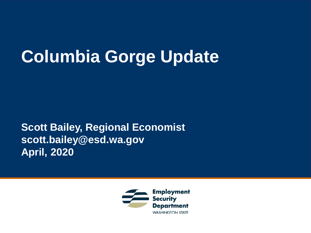# **Columbia Gorge Update**

**Scott Bailey, Regional Economist scott.bailey@esd.wa.gov April, 2020**

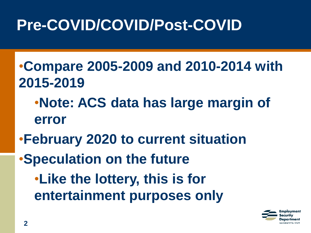# **Pre-COVID/COVID/Post-COVID**

- •**Compare 2005-2009 and 2010-2014 with 2015-2019**
	- •**Note: ACS data has large margin of error**
- •**February 2020 to current situation**
- •**Speculation on the future**
	- •**Like the lottery, this is for entertainment purposes only**

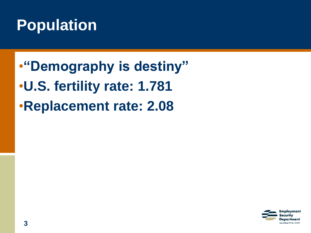#### **Population**

•**"Demography is destiny"** •**U.S. fertility rate: 1.781** •**Replacement rate: 2.08**

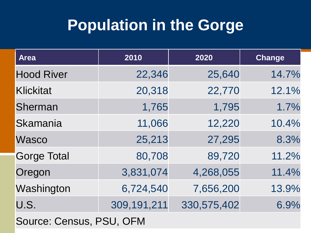#### **Population in the Gorge**

| <b>Area</b>        | 2010        | 2020        | <b>Change</b> |
|--------------------|-------------|-------------|---------------|
| <b>Hood River</b>  | 22,346      | 25,640      | 14.7%         |
| Klickitat          | 20,318      | 22,770      | 12.1%         |
| Sherman            | 1,765       | 1,795       | 1.7%          |
| Skamania           | 11,066      | 12,220      | 10.4%         |
| <b>Wasco</b>       | 25,213      | 27,295      | 8.3%          |
| <b>Gorge Total</b> | 80,708      | 89,720      | 11.2%         |
| Oregon             | 3,831,074   | 4,268,055   | 11.4%         |
| Washington         | 6,724,540   | 7,656,200   | 13.9%         |
| U.S.               | 309,191,211 | 330,575,402 | 6.9%          |

**4** Source: Census, PSU, OFM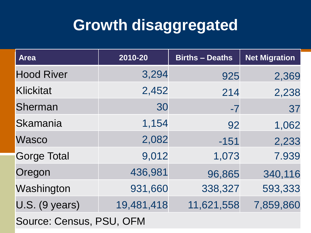## **Growth disaggregated**

| <b>Area</b>        | 2010-20    | <b>Births - Deaths</b> | <b>Net Migration</b> |
|--------------------|------------|------------------------|----------------------|
| <b>Hood River</b>  | 3,294      | 925                    | 2,369                |
| <b>Klickitat</b>   | 2,452      | 214                    | 2,238                |
| Sherman            | 30         | $-7$                   | 37                   |
| Skamania           | 1,154      | 92                     | 1,062                |
| Wasco              | 2,082      | $-151$                 | 2,233                |
| <b>Gorge Total</b> | 9,012      | 1,073                  | 7.939                |
| Oregon             | 436,981    | 96,865                 | 340,116              |
| Washington         | 931,660    | 338,327                | 593,333              |
| U.S. (9 years)     | 19,481,418 | 11,621,558             | 7,859,860            |

**5** Source: Census, PSU, OFM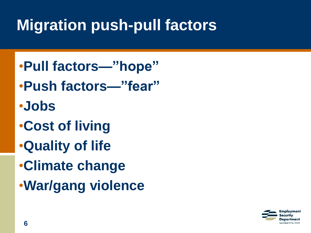# **Migration push-pull factors**

- •**Pull factors—"hope"**
- •**Push factors—"fear"**
- •**Jobs**
- •**Cost of living**
- •**Quality of life**
- •**Climate change**
- •**War/gang violence**

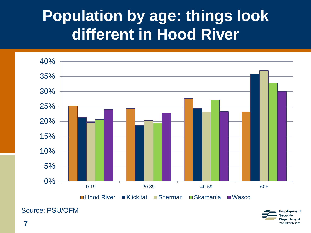#### **Population by age: things look different in Hood River**





Source: PSU/OFM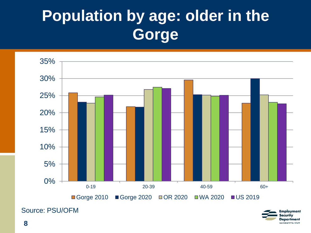# **Population by age: older in the Gorge**



Source: PSU/OFM

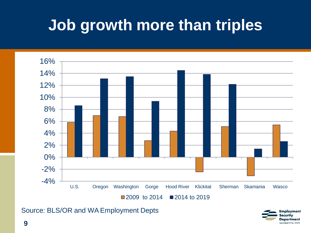## **Job growth more than triples**



Source: BLS/OR and WA Employment Depts

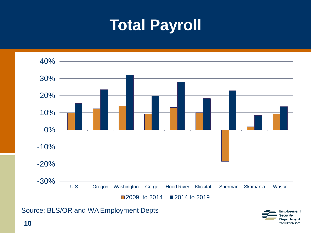#### **Total Payroll**



Source: BLS/OR and WA Employment Depts

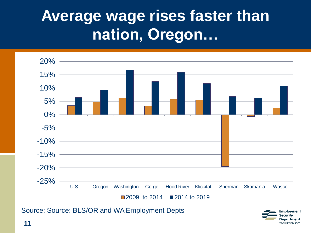#### **Average wage rises faster than nation, Oregon…**



Employment ecuritv **Department WASHINGTON STATE** 

Source: Source: BLS/OR and WA Employment Depts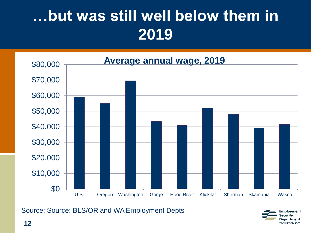# **…but was still well below them in 2019**



Source: Source: BLS/OR and WA Employment Depts

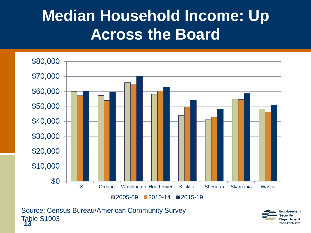#### **Median Household Income: Up Across the Board**



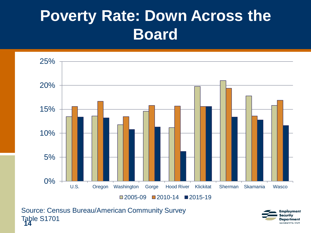## **Poverty Rate: Down Across the Board**



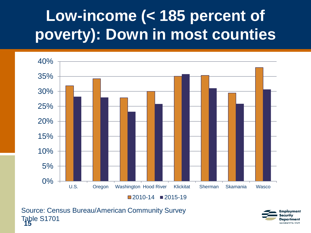# **Low-income (< 185 percent of poverty): Down in most counties**



 $\Box$  2010-14  $\Box$  2015-19

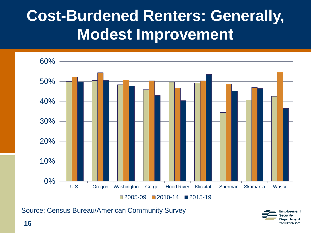## **Cost-Burdened Renters: Generally, Modest Improvement**



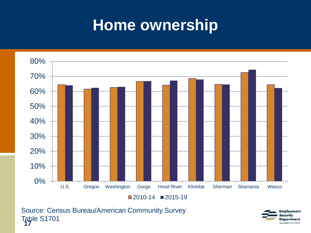#### **Home ownership**



 $\Box$  2010-14  $\Box$  2015-19

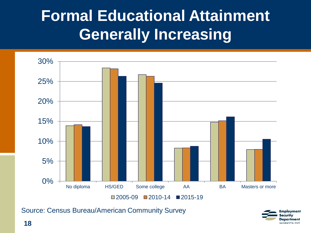## **Formal Educational Attainment Generally Increasing**



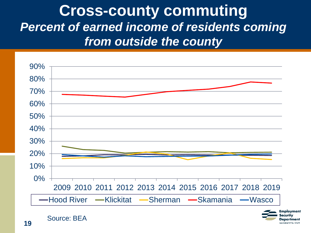#### **Cross-county commuting** *Percent of earned income of residents coming from outside the county*



**19**

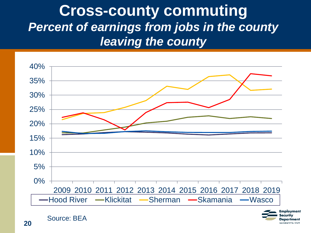#### **Cross-county commuting** *Percent of earnings from jobs in the county leaving the county*



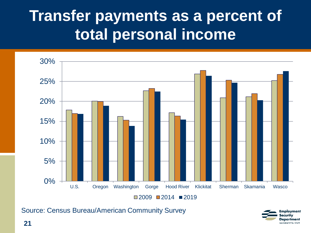#### **Transfer payments as a percent of total personal income**



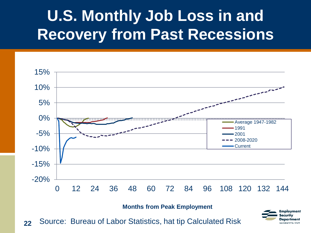## **U.S. Monthly Job Loss in and Recovery from Past Recessions**



**Months from Peak Employment**

**22** Source: Bureau of Labor Statistics, hat tip Calculated Risk

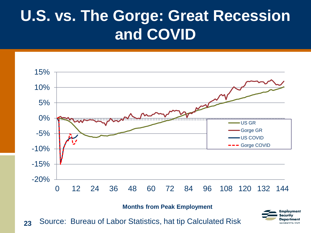## **U.S. vs. The Gorge: Great Recession and COVID**



**Months from Peak Employment**

**23** Source: Bureau of Labor Statistics, hat tip Calculated Risk

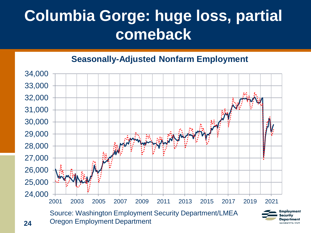# **Columbia Gorge: huge loss, partial comeback**

#### **Seasonally-Adjusted Nonfarm Employment**



**24**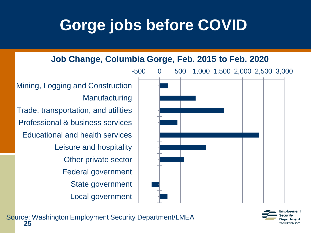## **Gorge jobs before COVID**

**Job Change, Columbia Gorge, Feb. 2015 to Feb. 2020**



Trade, transportation, and utilities Professional & business services Educational and health services Leisure and hospitality Other private sector Federal government State government

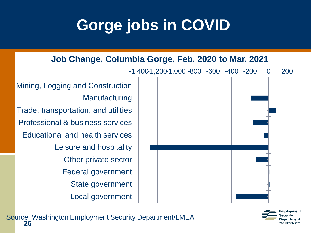# **Gorge jobs in COVID**



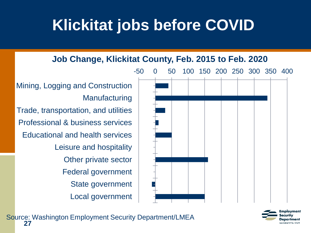#### **Klickitat jobs before COVID**

**Job Change, Klickitat County, Feb. 2015 to Feb. 2020**



Mining, Logging and Construction **Manufacturing** Trade, transportation, and utilities Professional & business services

Educational and health services Leisure and hospitality Other private sector Federal government State government Local government

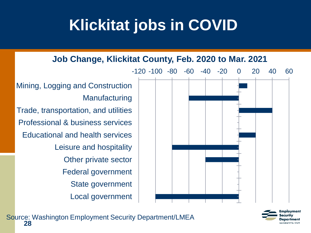## **Klickitat jobs in COVID**



mplovment partment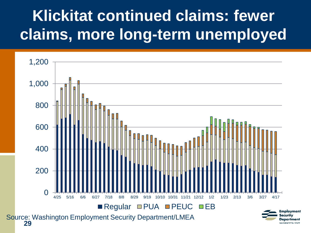# **Klickitat continued claims: fewer claims, more long-term unemployed**

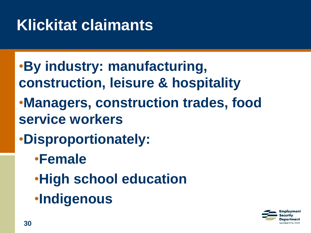# **Klickitat claimants**

- •**By industry: manufacturing, construction, leisure & hospitality** •**Managers, construction trades, food service workers**
- •**Disproportionately:**
	- •**Female**
	- •**High school education**
	- •**Indigenous**

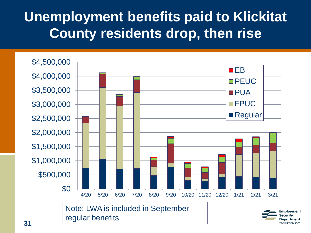#### **Unemployment benefits paid to Klickitat County residents drop, then rise**



**31**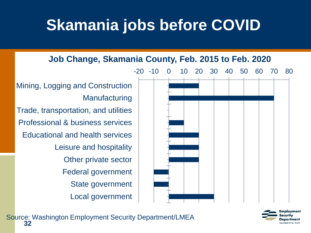## **Skamania jobs before COVID**

**Job Change, Skamania County, Feb. 2015 to Feb. 2020**



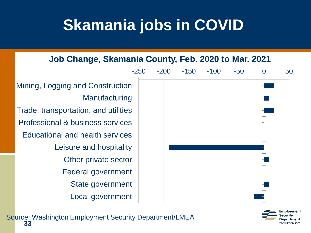## **Skamania jobs in COVID**





nnlovment oartmeni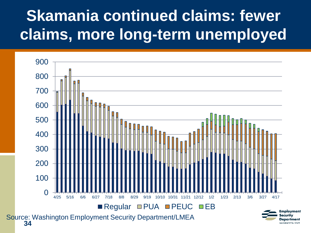# **Skamania continued claims: fewer claims, more long-term unemployed**

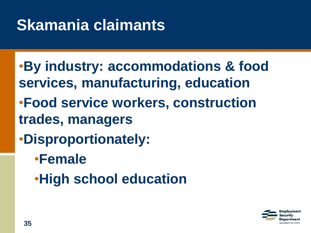## **Skamania claimants**

- •**By industry: accommodations & food services, manufacturing, education** •**Food service workers, construction trades, managers**
- •**Disproportionately:**
	- •**Female**
	- •**High school education**

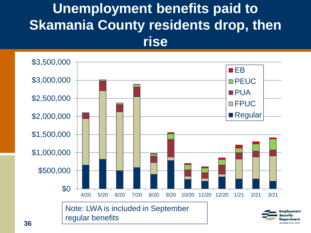#### **Unemployment benefits paid to Skamania County residents drop, then rise**



**36**